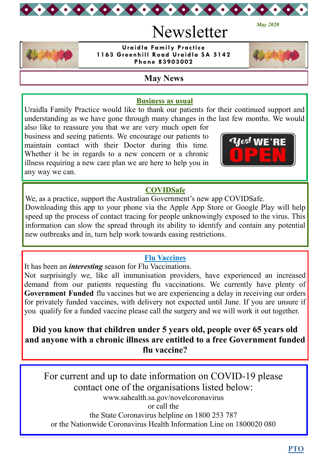

# Newsletter



**Uraidla Family Practice 1163 Greenhill Road Uraidla SA 5142 Phone 83903002**

#### **May News**

#### **Business as usual**

Uraidla Family Practice would like to thank our patients for their continued support and understanding as we have gone through many changes in the last few months. We would

also like to reassure you that we are very much open for business and seeing patients. We encourage our patients to maintain contact with their Doctor during this time. Whether it be in regards to a new concern or a chronic illness requiring a new care plan we are here to help you in any way we can.



*May 2020*

## **COVIDSafe**

We, as a practice, support the Australian Government's new app COVIDSafe. Downloading this app to your phone via the Apple App Store or Google Play will help speed up the process of contact tracing for people unknowingly exposed to the virus. This information can slow the spread through its ability to identify and contain any potential new outbreaks and in, turn help work towards easing restrictions.

## **Flu Vaccines**

It has been an *interesting* season for Flu Vaccinations. Not surprisingly we, like all immunisation providers, have experienced an increased demand from our patients requesting flu vaccinations. We currently have plenty of **Government Funded** flu vaccines but we are experiencing a delay in receiving our orders for privately funded vaccines, with delivery not expected until June. If you are unsure if you qualify for a funded vaccine please call the surgery and we will work it out together.

## **Did you know that children under 5 years old, people over 65 years old and anyone with a chronic illness are entitled to a free Government funded flu vaccine?**

For current and up to date information on COVID-19 please contact one of the organisations listed below: www.sahealth.sa.gov/novelcoronavirus or call the the State Coronavirus helpline on 1800 253 787 or the Nationwide Coronavirus Health Information Line on 1800020 080